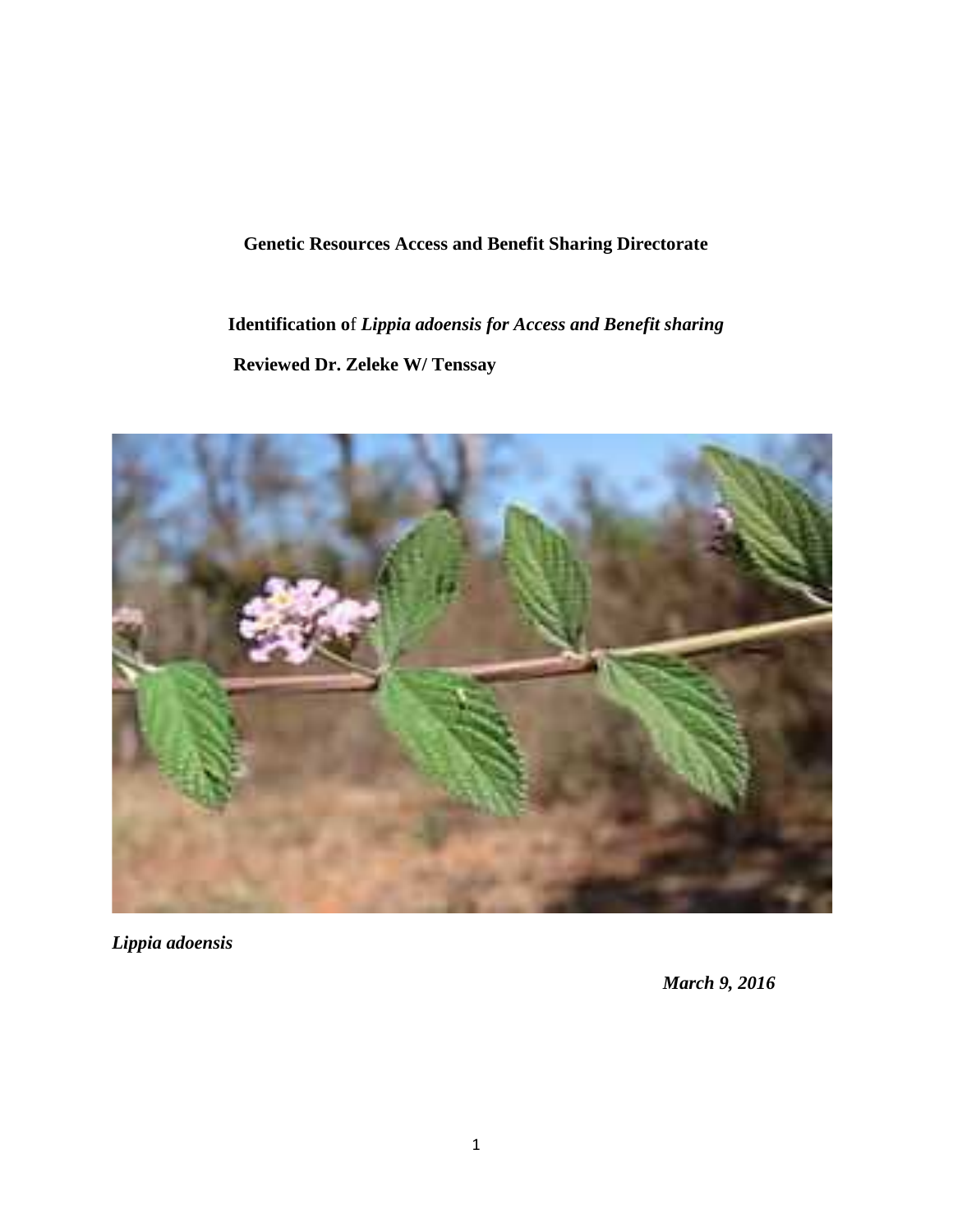# **Genetic Resources Access and Benefit Sharing Directorate**

**Identification o**f *Lippia adoensis for Access and Benefit sharing* **Reviewed Dr. Zeleke W/ Tenssay**



*Lippia adoensis*

*March 9, 2016*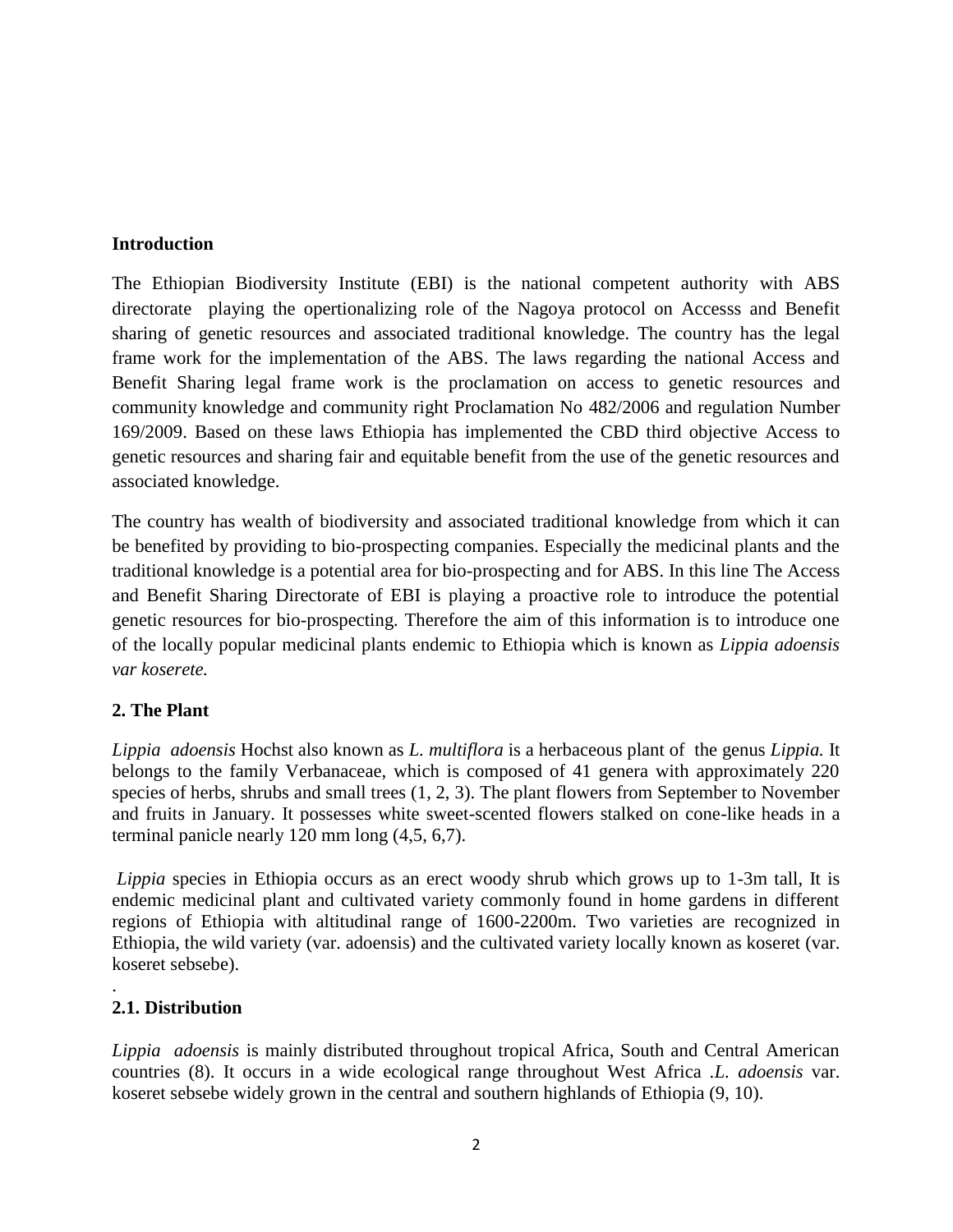#### **Introduction**

The Ethiopian Biodiversity Institute (EBI) is the national competent authority with ABS directorate playing the opertionalizing role of the Nagoya protocol on Accesss and Benefit sharing of genetic resources and associated traditional knowledge. The country has the legal frame work for the implementation of the ABS. The laws regarding the national Access and Benefit Sharing legal frame work is the proclamation on access to genetic resources and community knowledge and community right Proclamation No 482/2006 and regulation Number 169/2009. Based on these laws Ethiopia has implemented the CBD third objective Access to genetic resources and sharing fair and equitable benefit from the use of the genetic resources and associated knowledge.

The country has wealth of biodiversity and associated traditional knowledge from which it can be benefited by providing to bio-prospecting companies. Especially the medicinal plants and the traditional knowledge is a potential area for bio-prospecting and for ABS. In this line The Access and Benefit Sharing Directorate of EBI is playing a proactive role to introduce the potential genetic resources for bio-prospecting. Therefore the aim of this information is to introduce one of the locally popular medicinal plants endemic to Ethiopia which is known as *Lippia adoensis var koserete.*

# **2. The Plant**

*Lippia adoensis* Hochst also known as *L. multiflora* is a herbaceous plant of the genus *Lippia.* It belongs to the family Verbanaceae, which is composed of 41 genera with approximately 220 species of herbs, shrubs and small trees (1, 2, 3). The plant flowers from September to November and fruits in January. It possesses white sweet-scented flowers stalked on cone-like heads in a terminal panicle nearly 120 mm long (4,5, 6,7).

*Lippia* species in Ethiopia occurs as an erect woody shrub which grows up to 1-3m tall, It is endemic medicinal plant and cultivated variety commonly found in home gardens in different regions of Ethiopia with altitudinal range of 1600-2200m. Two varieties are recognized in Ethiopia, the wild variety (var. adoensis) and the cultivated variety locally known as koseret (var. koseret sebsebe).

#### .**2.1. Distribution**

*Lippia adoensis* is mainly distributed throughout tropical Africa, South and Central American countries (8). It occurs in a wide ecological range throughout West Africa .*L. adoensis* var. koseret sebsebe widely grown in the central and southern highlands of Ethiopia (9, 10).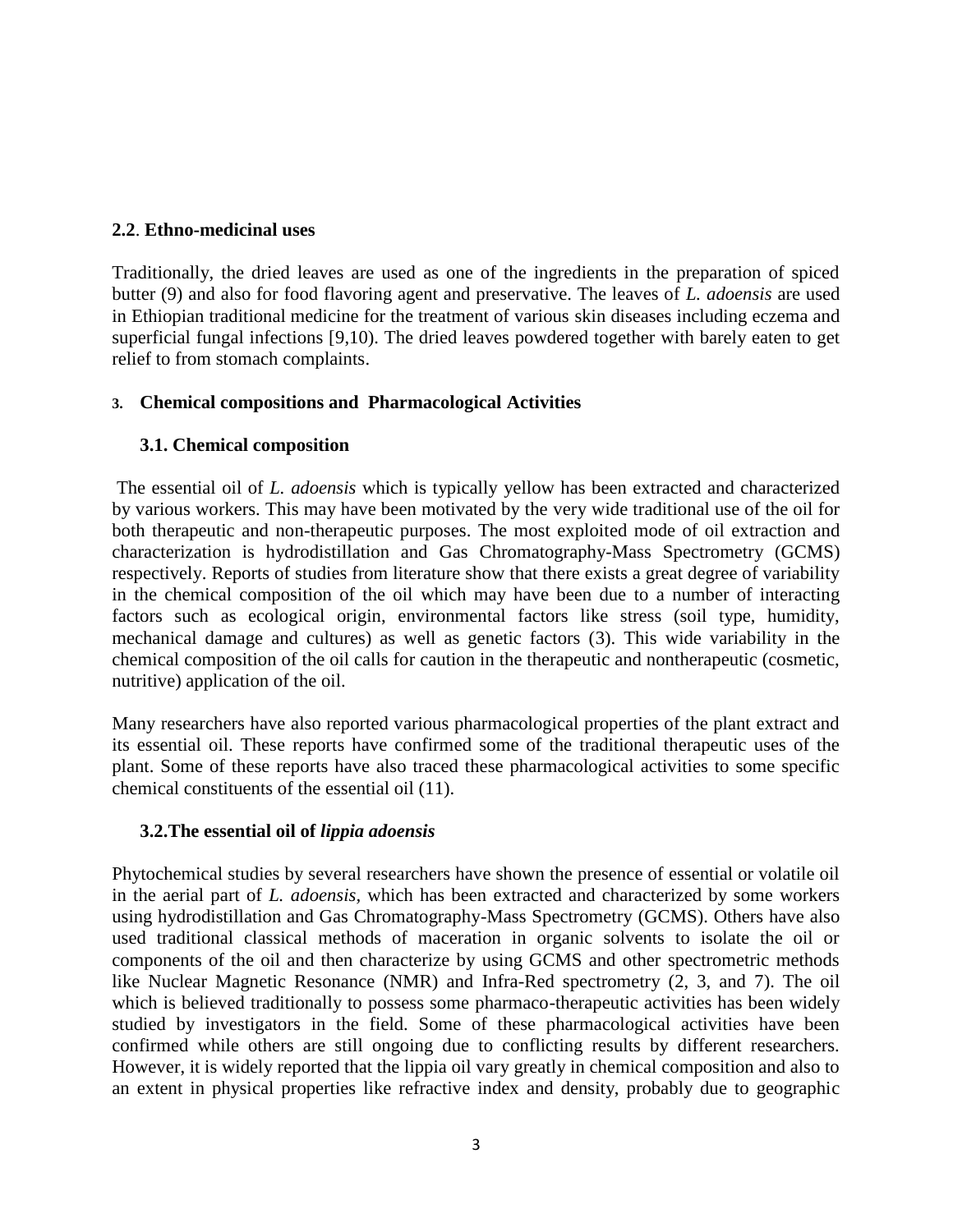## **2.2**. **Ethno-medicinal uses**

Traditionally, the dried leaves are used as one of the ingredients in the preparation of spiced butter (9) and also for food flavoring agent and preservative. The leaves of *L. adoensis* are used in Ethiopian traditional medicine for the treatment of various skin diseases including eczema and superficial fungal infections [9,10). The dried leaves powdered together with barely eaten to get relief to from stomach complaints.

# **3. Chemical compositions and Pharmacological Activities**

# **3.1. Chemical composition**

The essential oil of *L. adoensis* which is typically yellow has been extracted and characterized by various workers. This may have been motivated by the very wide traditional use of the oil for both therapeutic and non-therapeutic purposes. The most exploited mode of oil extraction and characterization is hydrodistillation and Gas Chromatography-Mass Spectrometry (GCMS) respectively. Reports of studies from literature show that there exists a great degree of variability in the chemical composition of the oil which may have been due to a number of interacting factors such as ecological origin, environmental factors like stress (soil type, humidity, mechanical damage and cultures) as well as genetic factors (3). This wide variability in the chemical composition of the oil calls for caution in the therapeutic and nontherapeutic (cosmetic, nutritive) application of the oil.

Many researchers have also reported various pharmacological properties of the plant extract and its essential oil. These reports have confirmed some of the traditional therapeutic uses of the plant. Some of these reports have also traced these pharmacological activities to some specific chemical constituents of the essential oil (11).

# **3.2.The essential oil of** *lippia adoensis*

Phytochemical studies by several researchers have shown the presence of essential or volatile oil in the aerial part of *L. adoensis,* which has been extracted and characterized by some workers using hydrodistillation and Gas Chromatography-Mass Spectrometry (GCMS). Others have also used traditional classical methods of maceration in organic solvents to isolate the oil or components of the oil and then characterize by using GCMS and other spectrometric methods like Nuclear Magnetic Resonance (NMR) and Infra-Red spectrometry (2, 3, and 7). The oil which is believed traditionally to possess some pharmaco-therapeutic activities has been widely studied by investigators in the field. Some of these pharmacological activities have been confirmed while others are still ongoing due to conflicting results by different researchers. However, it is widely reported that the lippia oil vary greatly in chemical composition and also to an extent in physical properties like refractive index and density, probably due to geographic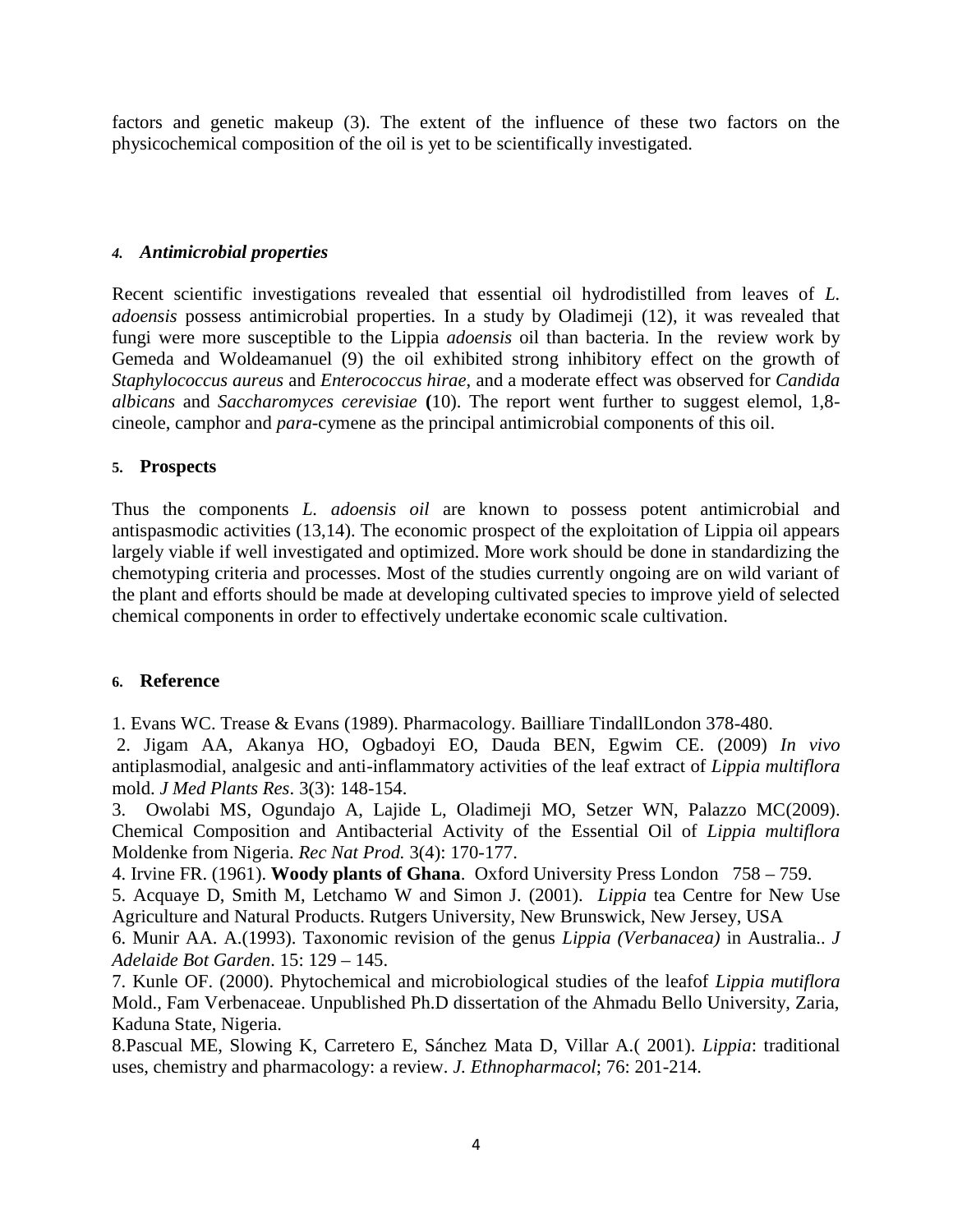factors and genetic makeup (3). The extent of the influence of these two factors on the physicochemical composition of the oil is yet to be scientifically investigated.

#### *4. Antimicrobial properties*

Recent scientific investigations revealed that essential oil hydrodistilled from leaves of *L. adoensis* possess antimicrobial properties. In a study by Oladimeji (12), it was revealed that fungi were more susceptible to the Lippia *adoensis* oil than bacteria. In the review work by Gemeda and Woldeamanuel (9) the oil exhibited strong inhibitory effect on the growth of *Staphylococcus aureus* and *Enterococcus hirae*, and a moderate effect was observed for *Candida albicans* and *Saccharomyces cerevisiae* **(**10). The report went further to suggest elemol, 1,8 cineole, camphor and *para*-cymene as the principal antimicrobial components of this oil.

## **5. Prospects**

Thus the components *L. adoensis oil* are known to possess potent antimicrobial and antispasmodic activities (13,14). The economic prospect of the exploitation of Lippia oil appears largely viable if well investigated and optimized. More work should be done in standardizing the chemotyping criteria and processes. Most of the studies currently ongoing are on wild variant of the plant and efforts should be made at developing cultivated species to improve yield of selected chemical components in order to effectively undertake economic scale cultivation.

#### **6. Reference**

1. Evans WC. Trease & Evans (1989). Pharmacology. Bailliare TindallLondon 378-480.

2. Jigam AA, Akanya HO, Ogbadoyi EO, Dauda BEN, Egwim CE. (2009) *In vivo* antiplasmodial, analgesic and anti-inflammatory activities of the leaf extract of *Lippia multiflora* mold. *J Med Plants Res*. 3(3): 148-154.

3. Owolabi MS, Ogundajo A, Lajide L, Oladimeji MO, Setzer WN, Palazzo MC(2009). Chemical Composition and Antibacterial Activity of the Essential Oil of *Lippia multiflora* Moldenke from Nigeria. *Rec Nat Prod.* 3(4): 170-177.

4. Irvine FR. (1961). **Woody plants of Ghana**. Oxford University Press London 758 – 759.

5. Acquaye D, Smith M, Letchamo W and Simon J. (2001). *Lippia* tea Centre for New Use Agriculture and Natural Products. Rutgers University, New Brunswick, New Jersey, USA

6. Munir AA. A.(1993). Taxonomic revision of the genus *Lippia (Verbanacea)* in Australia.. *J Adelaide Bot Garden*. 15: 129 – 145.

7. Kunle OF. (2000). Phytochemical and microbiological studies of the leafof *Lippia mutiflora* Mold., Fam Verbenaceae. Unpublished Ph.D dissertation of the Ahmadu Bello University, Zaria, Kaduna State, Nigeria.

8.Pascual ME, Slowing K, Carretero E, Sánchez Mata D, Villar A.( 2001). *Lippia*: traditional uses, chemistry and pharmacology: a review. *J. Ethnopharmacol*; 76: 201-214.